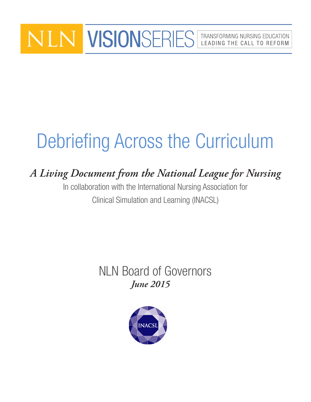# VISIONSERIES | TRANSFORMING NURSING EDUCATION LEADING THE CALL TO REFORM

# Debriefing Across the Curriculum

# *A Living Document from the National League for Nursing*

In collaboration with the International Nursing Association for Clinical Simulation and Learning (INACSL)

# *June 2015* NLN Board of Governors

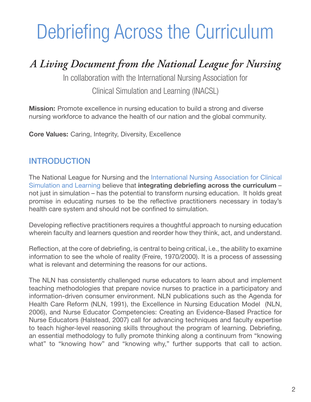# Debriefing Across the Curriculum

# *A Living Document from the National League for Nursing*

In collaboration with the International Nursing Association for

Clinical Simulation and Learning (INACSL)

**Mission:** Promote excellence in nursing education to build a strong and diverse nursing workforce to advance the health of our nation and the global community.

**Core Values:** Caring, Integrity, Diversity, Excellence

## INTRODUCTION

The National League for Nursing and the [International Nursing Association for Clinical](http://www.inacsl.org/i4a/pages/index.cfm%3Fpageid%3D1)  [Simulation and Learning](http://www.inacsl.org/i4a/pages/index.cfm%3Fpageid%3D1) believe that integrating debriefing across the curriculum – not just in simulation – has the potential to transform nursing education. It holds great promise in educating nurses to be the reflective practitioners necessary in today's health care system and should not be confined to simulation.

Developing reflective practitioners requires a thoughtful approach to nursing education wherein faculty and learners question and reorder how they think, act, and understand.

Reflection, at the core of debriefing, is central to being critical, i.e., the ability to examine information to see the whole of reality (Freire, 1970/2000). It is a process of assessing what is relevant and determining the reasons for our actions.

The NLN has consistently challenged nurse educators to learn about and implement teaching methodologies that prepare novice nurses to practice in a participatory and information-driven consumer environment. NLN publications such as the Agenda for Health Care Reform (NLN, 1991), the Excellence in Nursing Education Model (NLN, 2006), and Nurse Educator Competencies: Creating an Evidence-Based Practice for Nurse Educators (Halstead, 2007) call for advancing techniques and faculty expertise to teach higher-level reasoning skills throughout the program of learning. Debriefing, an essential methodology to fully promote thinking along a continuum from "knowing what" to "knowing how" and "knowing why," further supports that call to action.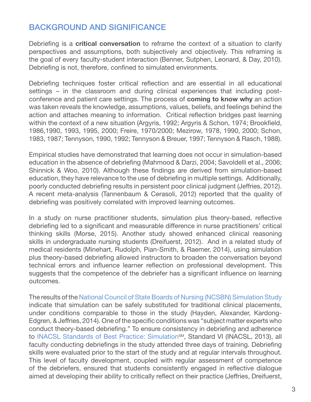## BACKGROUND AND SIGNIFICANCE

Debriefing is a **critical conversation** to reframe the context of a situation to clarify perspectives and assumptions, both subjectively and objectively. This reframing is the goal of every faculty-student interaction (Benner, Sutphen, Leonard, & Day, 2010). Debriefing is not, therefore, confined to simulated environments.

Debriefing techniques foster critical reflection and are essential in all educational settings – in the classroom and during clinical experiences that including postconference and patient care settings. The process of coming to know why an action was taken reveals the knowledge, assumptions, values, beliefs, and feelings behind the action and attaches meaning to information. Critical reflection bridges past learning within the context of a new situation (Argyris, 1992; Argyris & Schon, 1974; Brookfield, 1986,1990, 1993, 1995, 2000; Freire, 1970/2000; Mezirow, 1978, 1990, 2000; Schon, 1983, 1987; Tennyson, 1990, 1992; Tennyson & Breuer, 1997; Tennyson & Rasch, 1988).

Empirical studies have demonstrated that learning does not occur in simulation-based education in the absence of debriefing (Mahmood & Darzi, 2004; Savoldelli et al., 2006; Shinnick & Woo, 2010). Although these findings are derived from simulation-based education, they have relevance to the use of debriefing in multiple settings. Additionally, poorly conducted debriefing results in persistent poor clinical judgment (Jeffries, 2012). A recent meta-analysis (Tannenbaum & Cerasoli, 2012) reported that the quality of debriefing was positively correlated with improved learning outcomes.

In a study on nurse practitioner students, simulation plus theory-based, reflective debriefing led to a significant and measurable difference in nurse practitioners' critical thinking skills (Morse, 2015). Another study showed enhanced clinical reasoning skills in undergraduate nursing students (Dreifuerst, 2012). And in a related study of medical residents (Minehart, Rudolph, Pian-Smith, & Raemer, 2014), using simulation plus theory-based debriefing allowed instructors to broaden the conversation beyond technical errors and influence learner reflection on professional development. This suggests that the competence of the debriefer has a significant influence on learning outcomes.

The results of the [National Council of State Boards of Nursing \(NCSBN\) Simulation Study](https://www.ncsbn.org/685.htm) indicate that simulation can be safely substituted for traditional clinical placements, under conditions comparable to those in the study (Hayden, Alexander, Kardong-Edgren, & Jeffries, 2014). One of the specific conditions was "subject matter experts who conduct theory-based debriefing." To ensure consistency in debriefing and adherence to INACSL Standards of Best Practice: Simulation<sup>sM</sup>, Standard VI (INACSL, 2013), all faculty conducting debriefings in the study attended three days of training. Debriefing skills were evaluated prior to the start of the study and at regular intervals throughout. This level of faculty development, coupled with regular assessment of competence of the debriefers, ensured that students consistently engaged in reflective dialogue aimed at developing their ability to critically reflect on their practice (Jeffries, Dreifuerst,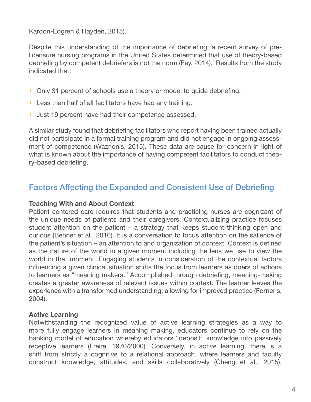Kardon-Edgren & Hayden, 2015).

Despite this understanding of the importance of debriefing, a recent survey of prelicensure nursing programs in the United States determined that use of theory-based debriefing by competent debriefers is not the norm (Fey, 2014). Results from the study indicated that:

- › Only 31 percent of schools use a theory or model to guide debriefing.
- › Less than half of all facilitators have had any training.
- › Just 19 percent have had their competence assessed.

A similar study found that debriefing facilitators who report having been trained actually did not participate in a formal training program and did not engage in ongoing assessment of competence (Waznonis, 2015). These data are cause for concern in light of what is known about the importance of having competent facilitators to conduct theory-based debriefing.

### Factors Affecting the Expanded and Consistent Use of Debriefing

#### Teaching With and About Context

Patient-centered care requires that students and practicing nurses are cognizant of the unique needs of patients and their caregivers. Contextualizing practice focuses student attention on the patient – a strategy that keeps student thinking open and curious (Benner et al., 2010). It is a conversation to focus attention on the salience of the patient's situation – an attention to and organization of context. Context is defined as the nature of the world in a given moment including the lens we use to view the world in that moment. Engaging students in consideration of the contextual factors influencing a given clinical situation shifts the focus from learners as doers of actions to learners as "meaning makers." Accomplished through debriefing, meaning-making creates a greater awareness of relevant issues within context. The learner leaves the experience with a transformed understanding, allowing for improved practice (Forneris, 2004).

#### Active Learning

Notwithstanding the recognized value of active learning strategies as a way to more fully engage learners in meaning making, educators continue to rely on the banking model of education whereby educators "deposit" knowledge into passively receptive learners (Freire, 1970/2000). Conversely, in active learning, there is a shift from strictly a cognitive to a relational approach, where learners and faculty construct knowledge, attitudes, and skills collaboratively (Cheng et al., 2015).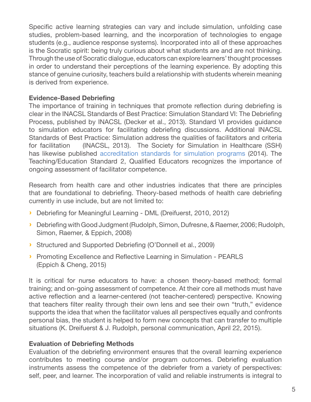Specific active learning strategies can vary and include simulation, unfolding case studies, problem-based learning, and the incorporation of technologies to engage students (e.g., audience response systems). Incorporated into all of these approaches is the Socratic spirit: being truly curious about what students are and are not thinking. Through the use of Socratic dialogue, educators can explore learners' thought processes in order to understand their perceptions of the learning experience. By adopting this stance of genuine curiosity, teachers build a relationship with students wherein meaning is derived from experience.

#### Evidence-Based Debriefing

The importance of training in techniques that promote reflection during debriefing is clear in the INACSL Standards of Best Practice: Simulation Standard VI: The Debriefing Process, published by INACSL (Decker et al., 2013). Standard VI provides guidance to simulation educators for facilitating debriefing discussions. Additional INACSL Standards of Best Practice: Simulation address the qualities of facilitators and criteria for facilitation (INACSL, 2013). The Society for Simulation in Healthcare (SSH) has likewise published [accreditation standards for simulation programs](http://www.ssih.org/Portals/48/Accreditation/14_A_Standards.pdf) (2014). The Teaching/Education Standard 2, Qualified Educators recognizes the importance of ongoing assessment of facilitator competence.

Research from health care and other industries indicates that there are principles that are foundational to debriefing. Theory-based methods of health care debriefing currently in use include, but are not limited to:

- › Debriefing for Meaningful Learning DML (Dreifuerst, 2010, 2012)
- › Debriefing with Good Judgment (Rudolph, Simon, Dufresne, & Raemer, 2006; Rudolph, Simon, Raemer, & Eppich, 2008)
- › Structured and Supported Debriefing (O'Donnell et al., 2009)
- › Promoting Excellence and Reflective Learning in Simulation PEARLS (Eppich & Cheng, 2015)

It is critical for nurse educators to have: a chosen theory-based method; formal training; and on-going assessment of competence. At their core all methods must have active reflection and a learner-centered (not teacher-centered) perspective. Knowing that teachers filter reality through their own lens and see their own "truth," evidence supports the idea that when the facilitator values all perspectives equally and confronts personal bias, the student is helped to form new concepts that can transfer to multiple situations (K. Dreifuerst & J. Rudolph, personal communication, April 22, 2015).

#### Evaluation of Debriefing Methods

Evaluation of the debriefing environment ensures that the overall learning experience contributes to meeting course and/or program outcomes. Debriefing evaluation instruments assess the competence of the debriefer from a variety of perspectives: self, peer, and learner. The incorporation of valid and reliable instruments is integral to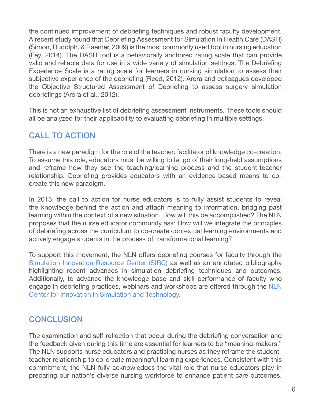the continued improvement of debriefing techniques and robust faculty development. A recent study found that Debriefing Assessment for Simulation in Health Care (DASH) (Simon, Rudolph, & Raemer, 2009) is the most commonly used tool in nursing education (Fey, 2014). The DASH tool is a behaviorally anchored rating scale that can provide valid and reliable data for use in a wide variety of simulation settings. The Debriefing Experience Scale is a rating scale for learners in nursing simulation to assess their subjective experience of the debriefing (Reed, 2012). Arora and colleagues developed the Objective Structured Assessment of Debriefing to assess surgery simulation debriefings (Arora et al., 2012).

This is not an exhaustive list of debriefing assessment instruments. These tools should all be analyzed for their applicability to evaluating debriefing in multiple settings.

## CALL TO ACTION

There is a new paradigm for the role of the teacher: facilitator of knowledge co-creation. To assume this role, educators must be willing to let go of their long-held assumptions and reframe how they see the teaching/learning process and the student-teacher relationship. Debriefing provides educators with an evidence-based means to cocreate this new paradigm.

In 2015, the call to action for nurse educators is to fully assist students to reveal the knowledge behind the action and attach meaning to information, bridging past learning within the context of a new situation. How will this be accomplished? The NLN proposes that the nurse educator community ask: How will we integrate the principles of debriefing across the curriculum to co-create contextual learning environments and actively engage students in the process of transformational learning?

To support this movement, the NLN offers debriefing courses for faculty through the [Simulation Innovation Resource Center \(SIRC\)](http://sirc.nln.org/) as well as an annotated bibliography highlighting recent advances in simulation debriefing techniques and outcomes. Additionally, to advance the knowledge base and skill performance of faculty who engage in debriefing practices, webinars and workshops are offered through the [NLN](http://www.nln.org/centers-for-nursing-education/nln-center-for-innovation-in-simulation-and-technology)  [Center for Innovation in Simulation and Technology.](http://www.nln.org/centers-for-nursing-education/nln-center-for-innovation-in-simulation-and-technology)

## **CONCLUSION**

The examination and self-reflection that occur during the debriefing conversation and the feedback given during this time are essential for learners to be "meaning-makers." The NLN supports nurse educators and practicing nurses as they reframe the studentteacher relationship to co-create meaningful learning experiences. Consistent with this commitment, the NLN fully acknowledges the vital role that nurse educators play in preparing our nation's diverse nursing workforce to enhance patient care outcomes.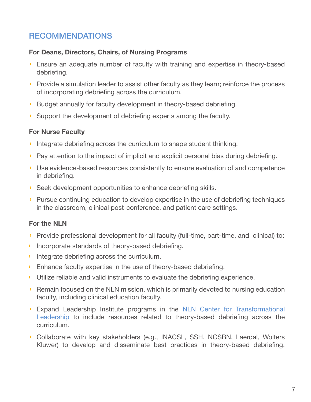# RECOMMENDATIONS

#### For Deans, Directors, Chairs, of Nursing Programs

- › Ensure an adequate number of faculty with training and expertise in theory-based debriefing.
- › Provide a simulation leader to assist other faculty as they learn; reinforce the process of incorporating debriefing across the curriculum.
- › Budget annually for faculty development in theory-based debriefing.
- › Support the development of debriefing experts among the faculty.

#### For Nurse Faculty

- › Integrate debriefing across the curriculum to shape student thinking.
- › Pay attention to the impact of implicit and explicit personal bias during debriefing.
- › Use evidence-based resources consistently to ensure evaluation of and competence in debriefing.
- › Seek development opportunities to enhance debriefing skills.
- › Pursue continuing education to develop expertise in the use of debriefing techniques in the classroom, clinical post-conference, and patient care settings.

#### For the NLN

- › Provide professional development for all faculty (full-time, part-time, and clinical) to:
- › Incorporate standards of theory-based debriefing.
- › Integrate debriefing across the curriculum.
- › Enhance faculty expertise in the use of theory-based debriefing.
- › Utilize reliable and valid instruments to evaluate the debriefing experience.
- › Remain focused on the NLN mission, which is primarily devoted to nursing education faculty, including clinical education faculty.
- › Expand Leadership Institute programs in the [NLN Center for Transformational](http://www.nln.org/centers-for-nursing-education/nln-center-for-transformational-leadership)  [Leadership](http://www.nln.org/centers-for-nursing-education/nln-center-for-transformational-leadership) to include resources related to theory-based debriefing across the curriculum.
- › Collaborate with key stakeholders (e.g., INACSL, SSH, NCSBN, Laerdal, Wolters Kluwer) to develop and disseminate best practices in theory-based debriefing.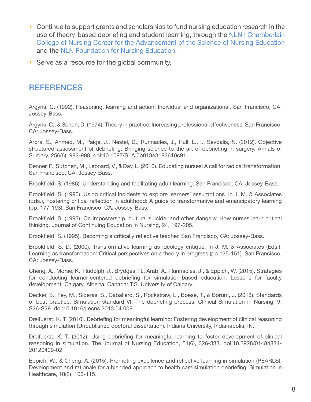- › Continue to support grants and scholarships to fund nursing education research in the use of theory-based debriefing and student learning, through the [NLN | Chamberlain](http://www.nln.org/centers-for-nursing-education/nln-chamberlain-college-of-nursing-center-for-the-advancement-of-the-science-of-nursing-education)  [College of Nursing Center for the Advancement of the Science of Nursing Education](http://www.nln.org/centers-for-nursing-education/nln-chamberlain-college-of-nursing-center-for-the-advancement-of-the-science-of-nursing-education) and the [NLN Foundation for Nursing Education.](http://www.nln.org/giving/overview/nln-foundation-for-nursing-education)
- › Serve as a resource for the global community.

### **REFERENCES**

Argyris, C. (1992). Reasoning, learning and action: Individual and organizational. San Francisco, CA: Jossey-Bass.

Argyris, C., & Schon, D. (1974). Theory in practice: Increasing professional effectiveness. San Francisco, CA: Jossey-Bass.

Arora, S., Ahmed, M., Paige, J., Nestel, D., Runnacles, J., Hull, L., ... Sevdalis, N. (2012). Objective structured assessment of debriefing: Bringing science to the art of debriefing in surgery. Annals of Surgery, 256(6), 982-988. doi:10.1097/SLA.0b013e3182610c91

Benner, P., Sutphen, M., Leonard, V., & Day, L. (2010). Educating nurses: A call for radical transformation. San Francisco, CA: Jossey-Bass.

Brookfield, S. (1986). Understanding and facilitating adult learning. San Francisco, CA: Jossey-Bass.

Brookfield, S. (1990). Using critical incidents to explore learners' assumptions. In J. M. & Associates (Eds.), Fostering critical reflection in adulthood: A guide to transformative and emancipatory learning (pp. 177-193). San Francisco, CA: Jossey-Bass.

Brookfield, S. (1993). On impostership, cultural suicide, and other dangers: How nurses learn critical thinking. Journal of Continuing Education in Nursing, 24, 197-205.

Brookfield, S. (1995). Becoming a critically reflective teacher. San Francisco, CA: Jossey-Bass.

Brookfield, S. D. (2000). Transformative learning as ideology critique. In J. M. & Associates (Eds.), Learning as transformation: Critical perspectives on a theory in progress (pp.125-151). San Francisco, CA: Jossey-Bass.

Cheng, A., Morse, K., Rudolph, J., Brydges, R., Arab, A., Runnacles, J., & Eppich, W. (2015). Strategies for conducting learner-centered debriefing for simulation-based education: Lessons for faculty development. Calgary, Alberta, Canada: T.S. University of Calgary.

Decker, S., Fey, M., Sideras, S., Caballero, S., Rockstraw, L., Boese, T., & Borum, J. (2013). Standards of best practice: Simulation standard VI: The debriefing process. Clinical Simulation in Nursing, 9, S26-S29. doi:10.1016/j.ecns.2013.04.008

Dreifuerst, K. T. (2010). Debriefing for meaningful learning: Fostering development of clinical reasoning through simulation (Unpublished doctoral dissertation). Indiana University, Indianapolis, IN.

Dreifuerst, K. T. (2012). Using debriefing for meaningful learning to foster development of clinical reasoning in simulation. The Journal of Nursing Education, 51(6), 326-333. doi:10.3928/01484834- 20120409-02

Eppich, W., & Cheng, A. (2015). Promoting excellence and reflective learning in simulation (PEARLS): Development and rationale for a blended approach to health care simulation debriefing. Simulation in Healthcare, 10(2), 106-115.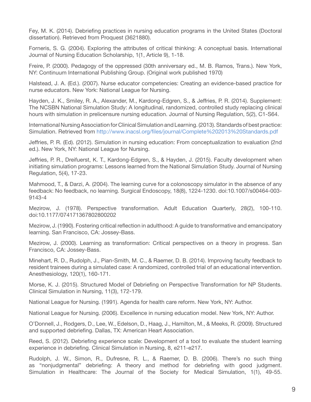Fey, M. K. (2014). Debriefing practices in nursing education programs in the United States (Doctoral dissertation). Retrieved from Proquest (3621880).

Forneris, S. G. (2004). Exploring the attributes of critical thinking: A conceptual basis. International Journal of Nursing Education Scholarship, 1(1, Article 9), 1-18.

Freire, P. (2000). Pedagogy of the oppressed (30th anniversary ed., M. B. Ramos, Trans.). New York, NY: Continuum International Publishing Group. (Original work published 1970)

Halstead, J. A. (Ed.). (2007). Nurse educator competencies: Creating an evidence-based practice for nurse educators. New York: National League for Nursing.

Hayden, J. K., Smiley, R. A., Alexander, M., Kardong-Edgren, S., & Jeffries, P. R. (2014). Supplement: The NCSBN National Simulation Study: A longitudinal, randomized, controlled study replacing clinical hours with simulation in prelicensure nursing education. Journal of Nursing Regulation, 5(2), C1-S64.

International Nursing Association for Clinical Simulation and Learning. (2013). Standards of best practice: Simulation. Retrieved from<http://www.inacsl.org/files/journal/Complete%202013%20Standards.pdf>

Jeffries, P. R. (Ed). (2012). Simulation in nursing education: From conceptualization to evaluation (2nd ed.). New York, NY: National League for Nursing.

Jeffries, P. R., Dreifuerst, K. T., Kardong-Edgren, S., & Hayden, J. (2015). Faculty development when initiating simulation programs: Lessons learned from the National Simulation Study. Journal of Nursing Regulation, 5(4), 17-23.

Mahmood, T., & Darzi, A. (2004). The learning curve for a colonoscopy simulator in the absence of any feedback: No feedback, no learning. Surgical Endoscopy, 18(8), 1224-1230. doi:10.1007/s00464-003- 9143-4

Mezirow, J. (1978). Perspective transformation. Adult Education Quarterly, 28(2), 100-110. doi:10.1177/074171367802800202

Mezirow, J. (1990). Fostering critical reflection in adulthood: A guide to transformative and emancipatory learning. San Francisco, CA: Jossey-Bass.

Mezirow, J. (2000). Learning as transformation: Critical perspectives on a theory in progress. San Francisco, CA: Jossey-Bass.

Minehart, R. D., Rudolph, J., Pian-Smith, M. C., & Raemer, D. B. (2014). Improving faculty feedback to resident trainees during a simulated case: A randomized, controlled trial of an educational intervention. Anesthesiology, 120(1), 160-171.

Morse, K. J. (2015). Structured Model of Debriefing on Perspective Transformation for NP Students. Clinical Simulation in Nursing, 11(3), 172-179.

National League for Nursing. (1991). Agenda for health care reform. New York, NY: Author.

National League for Nursing. (2006). Excellence in nursing education model. New York, NY: Author.

O'Donnell, J., Rodgers, D., Lee, W., Edelson, D., Haag, J., Hamilton, M., & Meeks, R. (2009). Structured and supported debriefing. Dallas, TX: American Heart Association.

Reed, S. (2012). Debriefing experience scale: Development of a tool to evaluate the student learning experience in debriefing. Clinical Simulation in Nursing, 8, e211-e217.

Rudolph, J. W., Simon, R., Dufresne, R. L., & Raemer, D. B. (2006). There's no such thing as "nonjudgmental" debriefing: A theory and method for debriefing with good judgment. Simulation in Healthcare: The Journal of the Society for Medical Simulation, 1(1), 49-55.